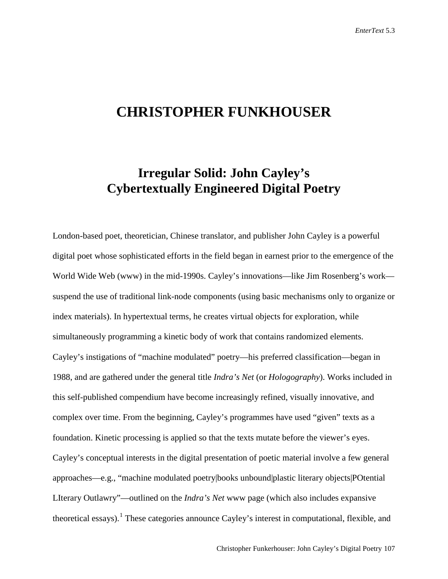# **CHRISTOPHER FUNKHOUSER**

## **Irregular Solid: John Cayley's Cybertextually Engineered Digital Poetry**

London-based poet, theoretician, Chinese translator, and publisher John Cayley is a powerful digital poet whose sophisticated efforts in the field began in earnest prior to the emergence of the World Wide Web (www) in the mid-1990s. Cayley's innovations—like Jim Rosenberg's work suspend the use of traditional link-node components (using basic mechanisms only to organize or index materials). In hypertextual terms, he creates virtual objects for exploration, while simultaneously programming a kinetic body of work that contains randomized elements. Cayley's instigations of "machine modulated" poetry—his preferred classification—began in 1988, and are gathered under the general title *Indra's Net* (or *Hologography*). Works included in this self-published compendium have become increasingly refined, visually innovative, and complex over time. From the beginning, Cayley's programmes have used "given" texts as a foundation. Kinetic processing is applied so that the texts mutate before the viewer's eyes. Cayley's conceptual interests in the digital presentation of poetic material involve a few general approaches—e.g., "machine modulated poetry|books unbound|plastic literary objects|POtential LIterary Outlawry"—outlined on the *Indra's Net* www page (which also includes expansive theoretical essays).<sup>[1](#page-24-0)</sup> These categories announce Cayley's interest in computational, flexible, and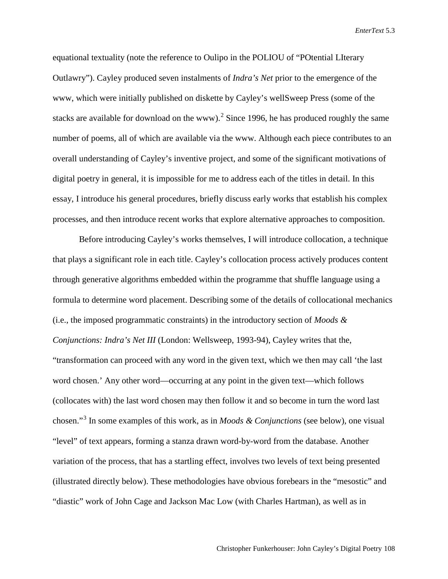equational textuality (note the reference to Oulipo in the POLIOU of "POtential LIterary Outlawry"). Cayley produced seven instalments of *Indra's Net* prior to the emergence of the www, which were initially published on diskette by Cayley's wellSweep Press (some of the stacks are available for download on the www).<sup>[2](#page-25-0)</sup> Since 1996, he has produced roughly the same number of poems, all of which are available via the www. Although each piece contributes to an overall understanding of Cayley's inventive project, and some of the significant motivations of digital poetry in general, it is impossible for me to address each of the titles in detail. In this essay, I introduce his general procedures, briefly discuss early works that establish his complex processes, and then introduce recent works that explore alternative approaches to composition.

Before introducing Cayley's works themselves, I will introduce collocation, a technique that plays a significant role in each title. Cayley's collocation process actively produces content through generative algorithms embedded within the programme that shuffle language using a formula to determine word placement. Describing some of the details of collocational mechanics (i.e., the imposed programmatic constraints) in the introductory section of *Moods & Conjunctions: Indra's Net III* (London: Wellsweep, 1993-94), Cayley writes that the, "transformation can proceed with any word in the given text, which we then may call 'the last word chosen.' Any other word—occurring at any point in the given text—which follows (collocates with) the last word chosen may then follow it and so become in turn the word last chosen."[3](#page-25-1) In some examples of this work, as in *Moods & Conjunctions* (see below), one visual "level" of text appears, forming a stanza drawn word-by-word from the database. Another variation of the process, that has a startling effect, involves two levels of text being presented (illustrated directly below). These methodologies have obvious forebears in the "mesostic" and "diastic" work of John Cage and Jackson Mac Low (with Charles Hartman), as well as in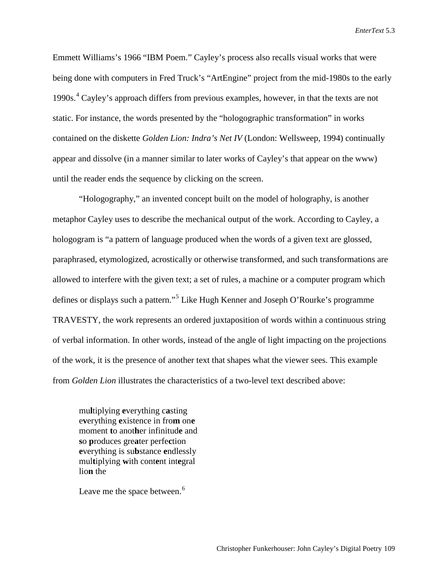Emmett Williams's 1966 "IBM Poem." Cayley's process also recalls visual works that were being done with computers in Fred Truck's "ArtEngine" project from the mid-1980s to the early 1990s.<sup>[4](#page-25-2)</sup> Cayley's approach differs from previous examples, however, in that the texts are not static. For instance, the words presented by the "hologographic transformation" in works contained on the diskette *Golden Lion: Indra's Net IV* (London: Wellsweep, 1994) continually appear and dissolve (in a manner similar to later works of Cayley's that appear on the www) until the reader ends the sequence by clicking on the screen.

"Hologography," an invented concept built on the model of holography, is another metaphor Cayley uses to describe the mechanical output of the work. According to Cayley, a hologogram is "a pattern of language produced when the words of a given text are glossed, paraphrased, etymologized, acrostically or otherwise transformed, and such transformations are allowed to interfere with the given text; a set of rules, a machine or a computer program which defines or displays such a pattern."[5](#page-25-3) Like Hugh Kenner and Joseph O'Rourke's programme TRAVESTY, the work represents an ordered juxtaposition of words within a continuous string of verbal information. In other words, instead of the angle of light impacting on the projections of the work, it is the presence of another text that shapes what the viewer sees. This example from *Golden Lion* illustrates the characteristics of a two-level text described above:

mu**l**tiplying **e**verything c**a**sting e**v**erything **e**xistence in fro**m** on**e** moment **t**o anot**h**er infinitud**e** and **s**o **p**roduces gre**a**ter perfe**c**tion **e**verything is su**b**stance **e**ndlessly mul**t**iplying **w**ith cont**e**nt int**e**gral lio**n** the

Leave me the space between.<sup>[6](#page-25-4)</sup>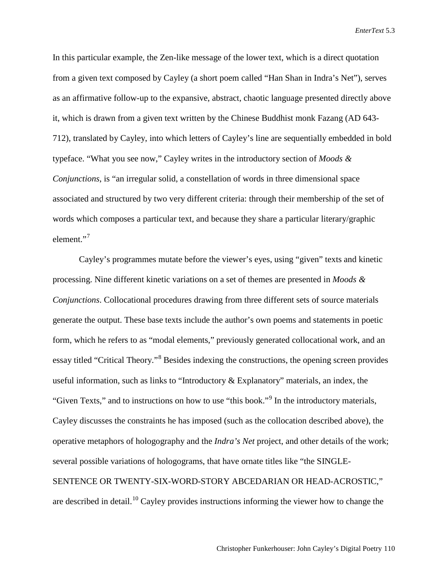In this particular example, the Zen-like message of the lower text, which is a direct quotation from a given text composed by Cayley (a short poem called "Han Shan in Indra's Net"), serves as an affirmative follow-up to the expansive, abstract, chaotic language presented directly above it, which is drawn from a given text written by the Chinese Buddhist monk Fazang (AD 643- 712), translated by Cayley, into which letters of Cayley's line are sequentially embedded in bold typeface. "What you see now," Cayley writes in the introductory section of *Moods & Conjunctions*, is "an irregular solid, a constellation of words in three dimensional space associated and structured by two very different criteria: through their membership of the set of words which composes a particular text, and because they share a particular literary/graphic element."<sup>[7](#page-25-5)</sup>

Cayley's programmes mutate before the viewer's eyes, using "given" texts and kinetic processing. Nine different kinetic variations on a set of themes are presented in *Moods & Conjunctions*. Collocational procedures drawing from three different sets of source materials generate the output. These base texts include the author's own poems and statements in poetic form, which he refers to as "modal elements," previously generated collocational work, and an essay titled "Critical Theory."[8](#page-25-6) Besides indexing the constructions, the opening screen provides useful information, such as links to "Introductory & Explanatory" materials, an index, the "Given Texts," and to instructions on how to use "this book."<sup>[9](#page-25-7)</sup> In the introductory materials, Cayley discusses the constraints he has imposed (such as the collocation described above), the operative metaphors of hologography and the *Indra's Net* project, and other details of the work; several possible variations of hologograms, that have ornate titles like "the SINGLE-SENTENCE OR TWENTY-SIX-WORD-STORY ABCEDARIAN OR HEAD-ACROSTIC," are described in detail.<sup>[10](#page-25-8)</sup> Cayley provides instructions informing the viewer how to change the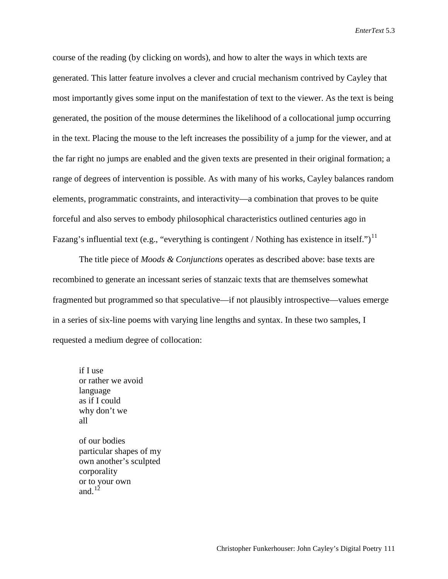course of the reading (by clicking on words), and how to alter the ways in which texts are generated. This latter feature involves a clever and crucial mechanism contrived by Cayley that most importantly gives some input on the manifestation of text to the viewer. As the text is being generated, the position of the mouse determines the likelihood of a collocational jump occurring in the text. Placing the mouse to the left increases the possibility of a jump for the viewer, and at the far right no jumps are enabled and the given texts are presented in their original formation; a range of degrees of intervention is possible. As with many of his works, Cayley balances random elements, programmatic constraints, and interactivity—a combination that proves to be quite forceful and also serves to embody philosophical characteristics outlined centuries ago in Fazang's influential text (e.g., "everything is contingent / Nothing has existence in itself.")<sup>[11](#page-25-9)</sup>

The title piece of *Moods & Conjunctions* operates as described above: base texts are recombined to generate an incessant series of stanzaic texts that are themselves somewhat fragmented but programmed so that speculative—if not plausibly introspective—values emerge in a series of six-line poems with varying line lengths and syntax. In these two samples, I requested a medium degree of collocation:

if I use or rather we avoid language as if I could why don't we all

of our bodies particular shapes of my own another's sculpted corporality or to your own and. $12$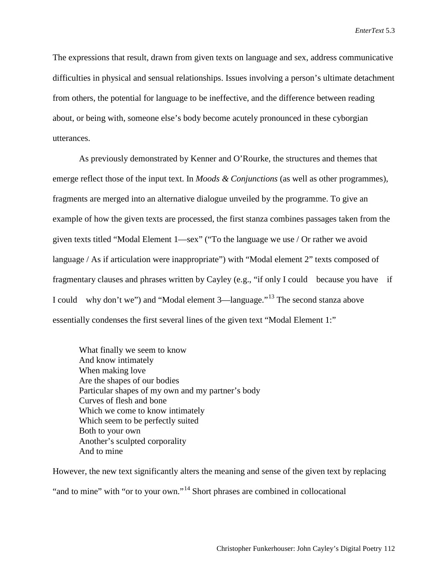The expressions that result, drawn from given texts on language and sex, address communicative difficulties in physical and sensual relationships. Issues involving a person's ultimate detachment from others, the potential for language to be ineffective, and the difference between reading about, or being with, someone else's body become acutely pronounced in these cyborgian utterances.

As previously demonstrated by Kenner and O'Rourke, the structures and themes that emerge reflect those of the input text. In *Moods & Conjunctions* (as well as other programmes), fragments are merged into an alternative dialogue unveiled by the programme. To give an example of how the given texts are processed, the first stanza combines passages taken from the given texts titled "Modal Element 1—sex" ("To the language we use / Or rather we avoid language / As if articulation were inappropriate") with "Modal element 2" texts composed of fragmentary clauses and phrases written by Cayley (e.g., "if only I could because you have if I could why don't we") and "Modal element 3—language."<sup>[13](#page-25-11)</sup> The second stanza above essentially condenses the first several lines of the given text "Modal Element 1:"

What finally we seem to know And know intimately When making love Are the shapes of our bodies Particular shapes of my own and my partner's body Curves of flesh and bone Which we come to know intimately Which seem to be perfectly suited Both to your own Another's sculpted corporality And to mine

However, the new text significantly alters the meaning and sense of the given text by replacing "and to mine" with "or to your own."<sup>[14](#page-25-12)</sup> Short phrases are combined in collocational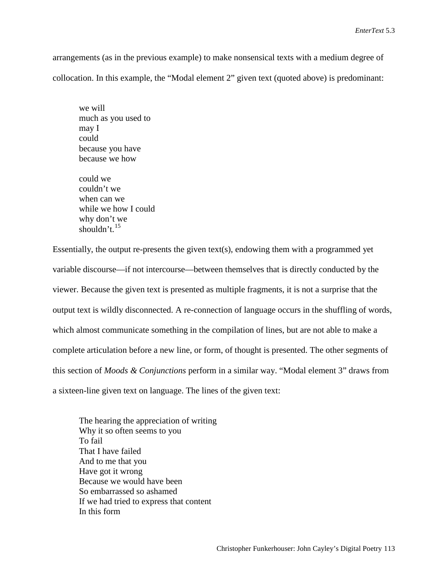arrangements (as in the previous example) to make nonsensical texts with a medium degree of collocation. In this example, the "Modal element 2" given text (quoted above) is predominant:

we will much as you used to may I could because you have because we how

could we couldn't we when can we while we how I could why don't we shouldn't.<sup>[15](#page-25-13)</sup>

Essentially, the output re-presents the given text(s), endowing them with a programmed yet variable discourse—if not intercourse—between themselves that is directly conducted by the viewer. Because the given text is presented as multiple fragments, it is not a surprise that the output text is wildly disconnected. A re-connection of language occurs in the shuffling of words, which almost communicate something in the compilation of lines, but are not able to make a complete articulation before a new line, or form, of thought is presented. The other segments of this section of *Moods & Conjunctions* perform in a similar way. "Modal element 3" draws from a sixteen-line given text on language. The lines of the given text:

The hearing the appreciation of writing Why it so often seems to you To fail That I have failed And to me that you Have got it wrong Because we would have been So embarrassed so ashamed If we had tried to express that content In this form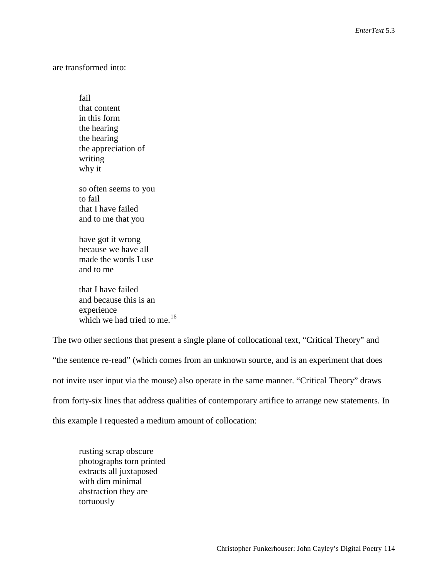are transformed into:

fail that content in this form the hearing the hearing the appreciation of writing why it so often seems to you to fail that I have failed and to me that you

have got it wrong because we have all made the words I use and to me

that I have failed and because this is an experience which we had tried to me.<sup>[16](#page-25-14)</sup>

The two other sections that present a single plane of collocational text, "Critical Theory" and "the sentence re-read" (which comes from an unknown source, and is an experiment that does not invite user input via the mouse) also operate in the same manner. "Critical Theory" draws from forty-six lines that address qualities of contemporary artifice to arrange new statements. In this example I requested a medium amount of collocation:

rusting scrap obscure photographs torn printed extracts all juxtaposed with dim minimal abstraction they are tortuously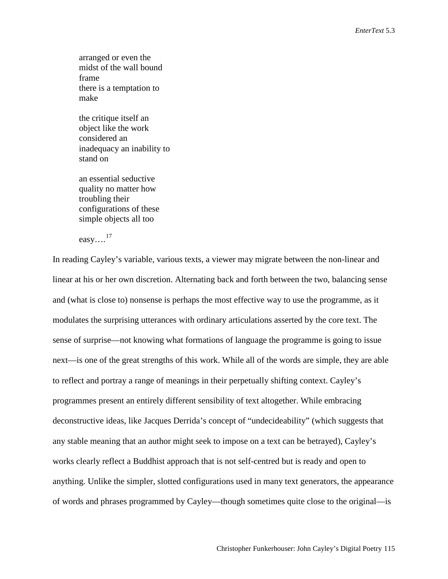arranged or even the midst of the wall bound frame there is a temptation to make

the critique itself an object like the work considered an inadequacy an inability to stand on

an essential seductive quality no matter how troubling their configurations of these simple objects all too

easy…. [17](#page-25-15)

In reading Cayley's variable, various texts, a viewer may migrate between the non-linear and linear at his or her own discretion. Alternating back and forth between the two, balancing sense and (what is close to) nonsense is perhaps the most effective way to use the programme, as it modulates the surprising utterances with ordinary articulations asserted by the core text. The sense of surprise—not knowing what formations of language the programme is going to issue next—is one of the great strengths of this work. While all of the words are simple, they are able to reflect and portray a range of meanings in their perpetually shifting context. Cayley's programmes present an entirely different sensibility of text altogether. While embracing deconstructive ideas, like Jacques Derrida's concept of "undecideability" (which suggests that any stable meaning that an author might seek to impose on a text can be betrayed), Cayley's works clearly reflect a Buddhist approach that is not self-centred but is ready and open to anything. Unlike the simpler, slotted configurations used in many text generators, the appearance of words and phrases programmed by Cayley—though sometimes quite close to the original—is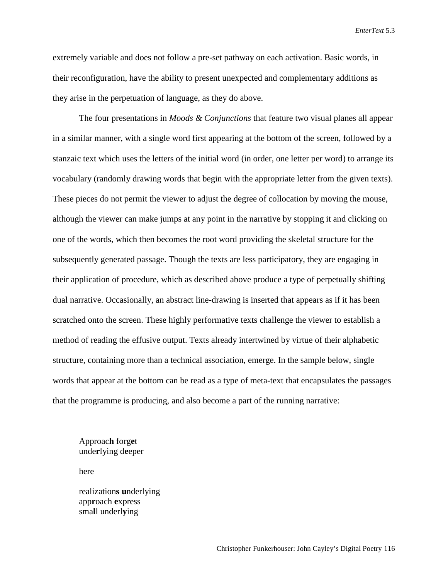extremely variable and does not follow a pre-set pathway on each activation. Basic words, in their reconfiguration, have the ability to present unexpected and complementary additions as they arise in the perpetuation of language, as they do above.

The four presentations in *Moods & Conjunctions* that feature two visual planes all appear in a similar manner, with a single word first appearing at the bottom of the screen, followed by a stanzaic text which uses the letters of the initial word (in order, one letter per word) to arrange its vocabulary (randomly drawing words that begin with the appropriate letter from the given texts). These pieces do not permit the viewer to adjust the degree of collocation by moving the mouse, although the viewer can make jumps at any point in the narrative by stopping it and clicking on one of the words, which then becomes the root word providing the skeletal structure for the subsequently generated passage. Though the texts are less participatory, they are engaging in their application of procedure, which as described above produce a type of perpetually shifting dual narrative. Occasionally, an abstract line-drawing is inserted that appears as if it has been scratched onto the screen. These highly performative texts challenge the viewer to establish a method of reading the effusive output. Texts already intertwined by virtue of their alphabetic structure, containing more than a technical association, emerge. In the sample below, single words that appear at the bottom can be read as a type of meta-text that encapsulates the passages that the programme is producing, and also become a part of the running narrative:

## Approac**h** forg**e**t unde**r**lying d**e**eper

here

realization**s u**nderlying app**r**oach **e**xpress sma**l**l underl**y**ing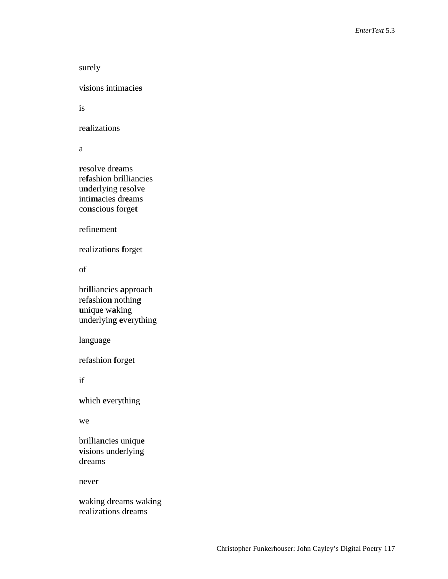```
surely
```
v**i**sions intimacie**s**

is

re**a**lizations

a

**r**esolve dr**e**ams re**f**ashion br**i**lliancies u**n**derlying r**e**solve inti**m**acies dr**e**ams co**n**scious forge**t**

refinement

realizati**o**ns **f**orget

of

bri**l**liancies **a**pproach refashio**n** nothin**g u**nique w**a**king underlyin**g e**verything

language

refash**i**on **f**orget

if

**w**hich **e**verything

we

brillia**n**cies uniqu**e v**isions und**e**rlying d**r**eams

never

**w**aking d**r**eams wak**i**ng realiza**t**ions dr**e**ams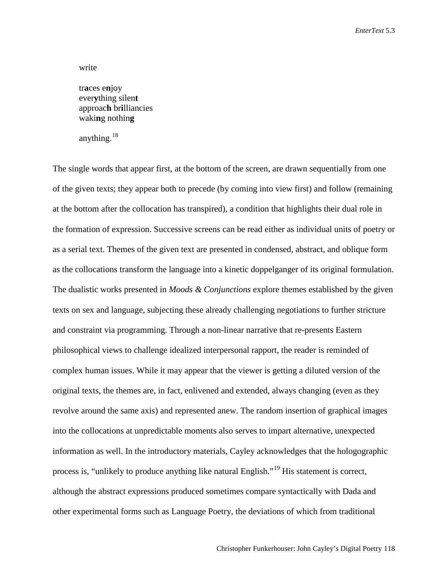### write

tr**a**ces e**n**joy ever**y**thing silen**t** approac**h** br**i**lliancies waki**n**g nothin**g**

anything.<sup>[18](#page-25-16)</sup>

The single words that appear first, at the bottom of the screen, are drawn sequentially from one of the given texts; they appear both to precede (by coming into view first) and follow (remaining at the bottom after the collocation has transpired), a condition that highlights their dual role in the formation of expression. Successive screens can be read either as individual units of poetry or as a serial text. Themes of the given text are presented in condensed, abstract, and oblique form as the collocations transform the language into a kinetic doppelganger of its original formulation. The dualistic works presented in *Moods & Conjunctions* explore themes established by the given texts on sex and language, subjecting these already challenging negotiations to further stricture and constraint via programming. Through a non-linear narrative that re-presents Eastern philosophical views to challenge idealized interpersonal rapport, the reader is reminded of complex human issues. While it may appear that the viewer is getting a diluted version of the original texts, the themes are, in fact, enlivened and extended, always changing (even as they revolve around the same axis) and represented anew. The random insertion of graphical images into the collocations at unpredictable moments also serves to impart alternative, unexpected information as well. In the introductory materials, Cayley acknowledges that the hologographic process is, "unlikely to produce anything like natural English."[19](#page-25-17) His statement is correct, although the abstract expressions produced sometimes compare syntactically with Dada and other experimental forms such as Language Poetry, the deviations of which from traditional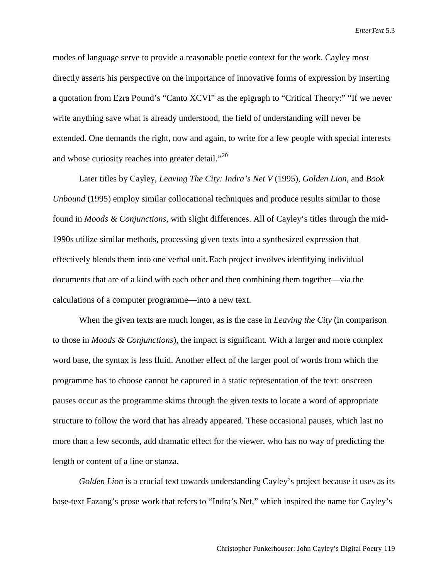modes of language serve to provide a reasonable poetic context for the work. Cayley most directly asserts his perspective on the importance of innovative forms of expression by inserting a quotation from Ezra Pound's "Canto XCVI" as the epigraph to "Critical Theory:" "If we never write anything save what is already understood, the field of understanding will never be extended. One demands the right, now and again, to write for a few people with special interests and whose curiosity reaches into greater detail. $^{20}$  $^{20}$  $^{20}$ 

Later titles by Cayley, *Leaving The City: Indra's Net V* (1995), *Golden Lion*, and *Book Unbound* (1995) employ similar collocational techniques and produce results similar to those found in *Moods & Conjunctions*, with slight differences. All of Cayley's titles through the mid-1990s utilize similar methods, processing given texts into a synthesized expression that effectively blends them into one verbal unit.Each project involves identifying individual documents that are of a kind with each other and then combining them together—via the calculations of a computer programme—into a new text.

When the given texts are much longer, as is the case in *Leaving the City* (in comparison to those in *Moods & Conjunctions*), the impact is significant. With a larger and more complex word base, the syntax is less fluid. Another effect of the larger pool of words from which the programme has to choose cannot be captured in a static representation of the text: onscreen pauses occur as the programme skims through the given texts to locate a word of appropriate structure to follow the word that has already appeared. These occasional pauses, which last no more than a few seconds, add dramatic effect for the viewer, who has no way of predicting the length or content of a line or stanza.

*Golden Lion* is a crucial text towards understanding Cayley's project because it uses as its base-text Fazang's prose work that refers to "Indra's Net," which inspired the name for Cayley's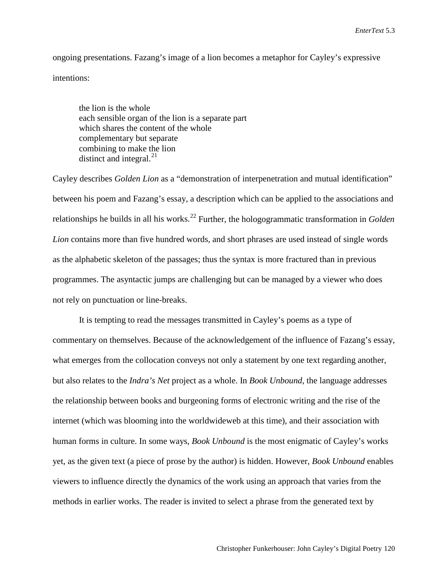ongoing presentations. Fazang's image of a lion becomes a metaphor for Cayley's expressive intentions:

the lion is the whole each sensible organ of the lion is a separate part which shares the content of the whole complementary but separate combining to make the lion distinct and integral. $^{21}$  $^{21}$  $^{21}$ 

Cayley describes *Golden Lion* as a "demonstration of interpenetration and mutual identification" between his poem and Fazang's essay, a description which can be applied to the associations and relationships he builds in all his works. [22](#page-25-20) Further, the hologogrammatic transformation in *Golden Lion* contains more than five hundred words, and short phrases are used instead of single words as the alphabetic skeleton of the passages; thus the syntax is more fractured than in previous programmes. The asyntactic jumps are challenging but can be managed by a viewer who does not rely on punctuation or line-breaks.

It is tempting to read the messages transmitted in Cayley's poems as a type of commentary on themselves. Because of the acknowledgement of the influence of Fazang's essay, what emerges from the collocation conveys not only a statement by one text regarding another, but also relates to the *Indra's Net* project as a whole. In *Book Unbound*, the language addresses the relationship between books and burgeoning forms of electronic writing and the rise of the internet (which was blooming into the worldwideweb at this time), and their association with human forms in culture. In some ways, *Book Unbound* is the most enigmatic of Cayley's works yet, as the given text (a piece of prose by the author) is hidden. However, *Book Unbound* enables viewers to influence directly the dynamics of the work using an approach that varies from the methods in earlier works. The reader is invited to select a phrase from the generated text by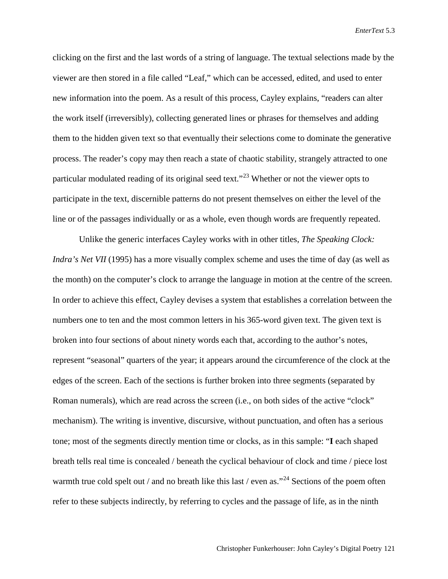clicking on the first and the last words of a string of language. The textual selections made by the viewer are then stored in a file called "Leaf," which can be accessed, edited, and used to enter new information into the poem. As a result of this process, Cayley explains, "readers can alter the work itself (irreversibly), collecting generated lines or phrases for themselves and adding them to the hidden given text so that eventually their selections come to dominate the generative process. The reader's copy may then reach a state of chaotic stability, strangely attracted to one particular modulated reading of its original seed text."<sup>[23](#page-25-21)</sup> Whether or not the viewer opts to participate in the text, discernible patterns do not present themselves on either the level of the line or of the passages individually or as a whole, even though words are frequently repeated.

Unlike the generic interfaces Cayley works with in other titles, *The Speaking Clock: Indra's Net VII* (1995) has a more visually complex scheme and uses the time of day (as well as the month) on the computer's clock to arrange the language in motion at the centre of the screen. In order to achieve this effect, Cayley devises a system that establishes a correlation between the numbers one to ten and the most common letters in his 365-word given text. The given text is broken into four sections of about ninety words each that, according to the author's notes, represent "seasonal" quarters of the year; it appears around the circumference of the clock at the edges of the screen. Each of the sections is further broken into three segments (separated by Roman numerals), which are read across the screen (i.e., on both sides of the active "clock" mechanism). The writing is inventive, discursive, without punctuation, and often has a serious tone; most of the segments directly mention time or clocks, as in this sample: "**I** each shaped breath tells real time is concealed / beneath the cyclical behaviour of clock and time / piece lost warmth true cold spelt out / and no breath like this last / even as."<sup>[24](#page-25-22)</sup> Sections of the poem often refer to these subjects indirectly, by referring to cycles and the passage of life, as in the ninth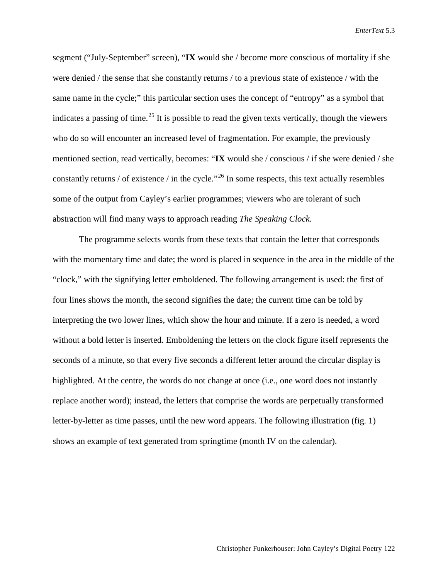segment ("July-September" screen), "**IX** would she / become more conscious of mortality if she were denied / the sense that she constantly returns / to a previous state of existence / with the same name in the cycle;" this particular section uses the concept of "entropy" as a symbol that indicates a passing of time.<sup>[25](#page-25-23)</sup> It is possible to read the given texts vertically, though the viewers who do so will encounter an increased level of fragmentation. For example, the previously mentioned section, read vertically, becomes: "**IX** would she / conscious / if she were denied / she constantly returns / of existence / in the cycle."[26](#page-25-24) In some respects, this text actually resembles some of the output from Cayley's earlier programmes; viewers who are tolerant of such abstraction will find many ways to approach reading *The Speaking Clock*.

The programme selects words from these texts that contain the letter that corresponds with the momentary time and date; the word is placed in sequence in the area in the middle of the "clock," with the signifying letter emboldened. The following arrangement is used: the first of four lines shows the month, the second signifies the date; the current time can be told by interpreting the two lower lines, which show the hour and minute. If a zero is needed, a word without a bold letter is inserted. Emboldening the letters on the clock figure itself represents the seconds of a minute, so that every five seconds a different letter around the circular display is highlighted. At the centre, the words do not change at once (i.e., one word does not instantly replace another word); instead, the letters that comprise the words are perpetually transformed letter-by-letter as time passes, until the new word appears. The following illustration (fig. 1) shows an example of text generated from springtime (month IV on the calendar).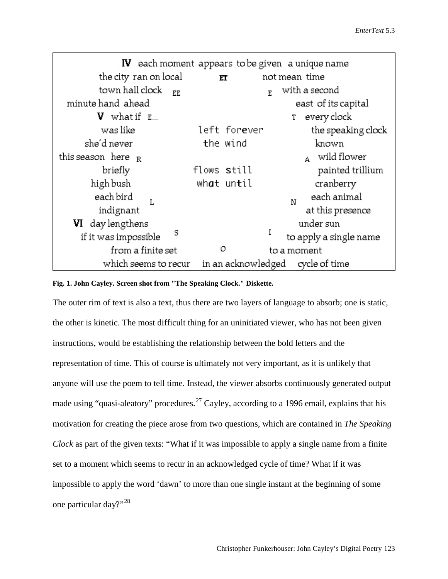|                               | $\mathbf W$ each moment appears to be given a unique name |                        |
|-------------------------------|-----------------------------------------------------------|------------------------|
| the city ran on local         | ЕT                                                        | not mean time          |
| town hall clock<br><b>EE</b>  | E.                                                        | with a second          |
| minute hand ahead             |                                                           | east of its capital    |
| <b>V</b> what if $E_{\cdots}$ |                                                           | 1 every clock          |
| was like                      | left for <b>e</b> ver                                     | the speaking clock     |
| she'd never                   | the wind                                                  | known                  |
| this season here $_R$         |                                                           | $_{A}$ wild flower     |
| briefly                       | flows <b>s</b> till                                       | painted trillium       |
| high bush                     | wh <b>a</b> t until                                       | cranberry              |
| each bird                     |                                                           | each animal<br>N       |
| indignant                     |                                                           | at this presence       |
| <b>VI</b> day lengthens       |                                                           | under sun              |
| s<br>if it was impossible     | I                                                         | to apply a single name |
| from a finite set             | o                                                         | to a moment            |
| which seems to recur          | in an acknowledged                                        | cycle of time          |

### **Fig. 1. John Cayley. Screen shot from "The Speaking Clock." Diskette.**

The outer rim of text is also a text, thus there are two layers of language to absorb; one is static, the other is kinetic. The most difficult thing for an uninitiated viewer, who has not been given instructions, would be establishing the relationship between the bold letters and the representation of time. This of course is ultimately not very important, as it is unlikely that anyone will use the poem to tell time. Instead, the viewer absorbs continuously generated output made using "quasi-aleatory" procedures.<sup>[27](#page-25-25)</sup> Cayley, according to a 1996 email, explains that his motivation for creating the piece arose from two questions, which are contained in *The Speaking Clock* as part of the given texts: "What if it was impossible to apply a single name from a finite set to a moment which seems to recur in an acknowledged cycle of time? What if it was impossible to apply the word 'dawn' to more than one single instant at the beginning of some one particular day?"[28](#page-25-26)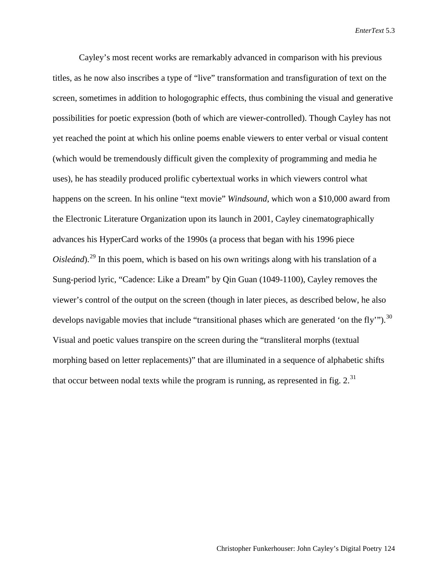Cayley's most recent works are remarkably advanced in comparison with his previous titles, as he now also inscribes a type of "live" transformation and transfiguration of text on the screen, sometimes in addition to hologographic effects, thus combining the visual and generative possibilities for poetic expression (both of which are viewer-controlled). Though Cayley has not yet reached the point at which his online poems enable viewers to enter verbal or visual content (which would be tremendously difficult given the complexity of programming and media he uses), he has steadily produced prolific cybertextual works in which viewers control what happens on the screen. In his online "text movie" *Windsound*, which won a \$10,000 award from the Electronic Literature Organization upon its launch in 2001, Cayley cinematographically advances his HyperCard works of the 1990s (a process that began with his 1996 piece *Oisleánd*).<sup>[29](#page-25-27)</sup> In this poem, which is based on his own writings along with his translation of a Sung-period lyric, "Cadence: Like a Dream" by Qin Guan (1049-1100), Cayley removes the viewer's control of the output on the screen (though in later pieces, as described below, he also develops navigable movies that include "transitional phases which are generated 'on the fly'").<sup>[30](#page-25-28)</sup> Visual and poetic values transpire on the screen during the "transliteral morphs (textual morphing based on letter replacements)" that are illuminated in a sequence of alphabetic shifts that occur between nodal texts while the program is running, as represented in fig.  $2.^{31}$  $2.^{31}$  $2.^{31}$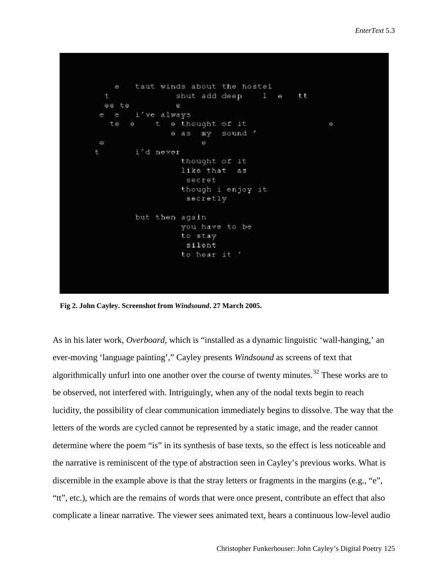```
taut winds about the hostel
    e
  t
                  shut add deep
                                     1 - ett
 ee te
         i've always
    ¢
e
                e thought of it
                                                     ė
   te
       \thetae asmy
                            sound '
                        \ddot{0}\Thetai'd never
t.
                   thought of it
                   like that
                               A5secret
                   though i enjoy it
                    secretly
        but then again
                   you have to be
                   to stay
                    silent
                   to hear it !
```
 **Fig 2. John Cayley. Screenshot from** *Windsound***. 27 March 2005.**

As in his later work, *Overboard*, which is "installed as a dynamic linguistic 'wall-hanging,' an ever-moving 'language painting'," Cayley presents *Windsound* as screens of text that algorithmically unfurl into one another over the course of twenty minutes.<sup>[32](#page-25-30)</sup> These works are to be observed, not interfered with. Intriguingly, when any of the nodal texts begin to reach lucidity, the possibility of clear communication immediately begins to dissolve. The way that the letters of the words are cycled cannot be represented by a static image, and the reader cannot determine where the poem "is" in its synthesis of base texts, so the effect is less noticeable and the narrative is reminiscent of the type of abstraction seen in Cayley's previous works. What is discernible in the example above is that the stray letters or fragments in the margins  $(e.g., "e",$ "tt", etc.), which are the remains of words that were once present, contribute an effect that also complicate a linear narrative. The viewer sees animated text, hears a continuous low-level audio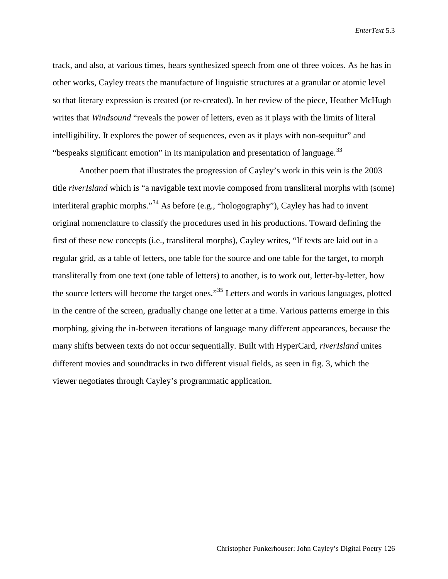track, and also, at various times, hears synthesized speech from one of three voices. As he has in other works, Cayley treats the manufacture of linguistic structures at a granular or atomic level so that literary expression is created (or re-created). In her review of the piece, Heather McHugh writes that *Windsound* "reveals the power of letters, even as it plays with the limits of literal intelligibility. It explores the power of sequences, even as it plays with non-sequitur" and "bespeaks significant emotion" in its manipulation and presentation of language.<sup>[33](#page-25-31)</sup>

Another poem that illustrates the progression of Cayley's work in this vein is the 2003 title *riverIsland* which is "a navigable text movie composed from transliteral morphs with (some) interliteral graphic morphs."<sup>[34](#page-25-32)</sup> As before (e.g., "hologography"), Cayley has had to invent original nomenclature to classify the procedures used in his productions. Toward defining the first of these new concepts (i.e., transliteral morphs), Cayley writes, "If texts are laid out in a regular grid, as a table of letters, one table for the source and one table for the target, to morph transliterally from one text (one table of letters) to another, is to work out, letter-by-letter, how the source letters will become the target ones."[35](#page-25-33) Letters and words in various languages, plotted in the centre of the screen, gradually change one letter at a time. Various patterns emerge in this morphing, giving the in-between iterations of language many different appearances, because the many shifts between texts do not occur sequentially. Built with HyperCard, *riverIsland* unites different movies and soundtracks in two different visual fields, as seen in fig. 3, which the viewer negotiates through Cayley's programmatic application.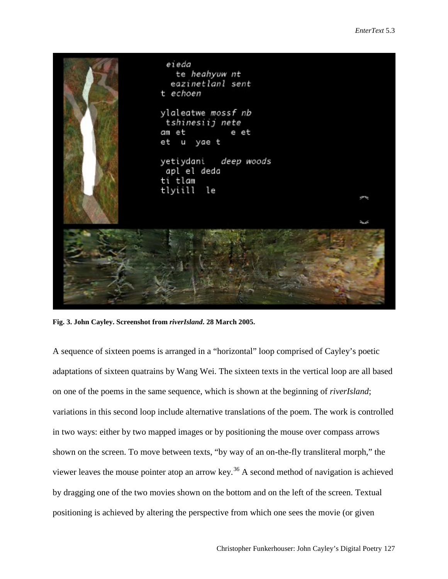

**Fig. 3. John Cayley. Screenshot from** *riverIsland***. 28 March 2005.**

A sequence of sixteen poems is arranged in a "horizontal" loop comprised of Cayley's poetic adaptations of sixteen quatrains by Wang Wei. The sixteen texts in the vertical loop are all based on one of the poems in the same sequence, which is shown at the beginning of *riverIsland*; variations in this second loop include alternative translations of the poem. The work is controlled in two ways: either by two mapped images or by positioning the mouse over compass arrows shown on the screen. To move between texts, "by way of an on-the-fly transliteral morph," the viewer leaves the mouse pointer atop an arrow key.<sup>[36](#page-25-34)</sup> A second method of navigation is achieved by dragging one of the two movies shown on the bottom and on the left of the screen. Textual positioning is achieved by altering the perspective from which one sees the movie (or given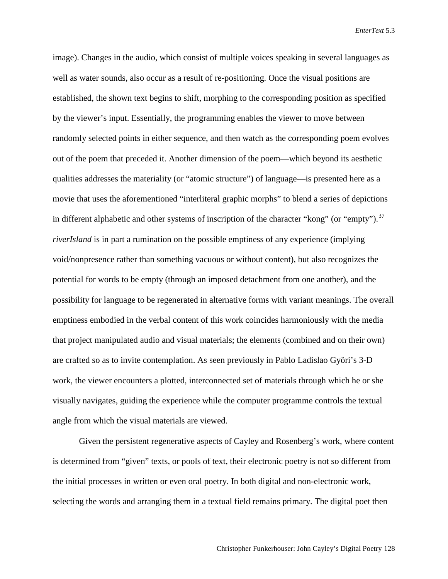image). Changes in the audio, which consist of multiple voices speaking in several languages as well as water sounds, also occur as a result of re-positioning. Once the visual positions are established, the shown text begins to shift, morphing to the corresponding position as specified by the viewer's input. Essentially, the programming enables the viewer to move between randomly selected points in either sequence, and then watch as the corresponding poem evolves out of the poem that preceded it. Another dimension of the poem—which beyond its aesthetic qualities addresses the materiality (or "atomic structure") of language—is presented here as a movie that uses the aforementioned "interliteral graphic morphs" to blend a series of depictions in different alphabetic and other systems of inscription of the character "kong" (or "empty").<sup>[37](#page-25-35)</sup> *riverIsland* is in part a rumination on the possible emptiness of any experience (implying void/nonpresence rather than something vacuous or without content), but also recognizes the potential for words to be empty (through an imposed detachment from one another), and the possibility for language to be regenerated in alternative forms with variant meanings. The overall emptiness embodied in the verbal content of this work coincides harmoniously with the media that project manipulated audio and visual materials; the elements (combined and on their own) are crafted so as to invite contemplation. As seen previously in Pablo Ladislao Györi's 3-D work, the viewer encounters a plotted, interconnected set of materials through which he or she visually navigates, guiding the experience while the computer programme controls the textual angle from which the visual materials are viewed.

Given the persistent regenerative aspects of Cayley and Rosenberg's work, where content is determined from "given" texts, or pools of text, their electronic poetry is not so different from the initial processes in written or even oral poetry. In both digital and non-electronic work, selecting the words and arranging them in a textual field remains primary. The digital poet then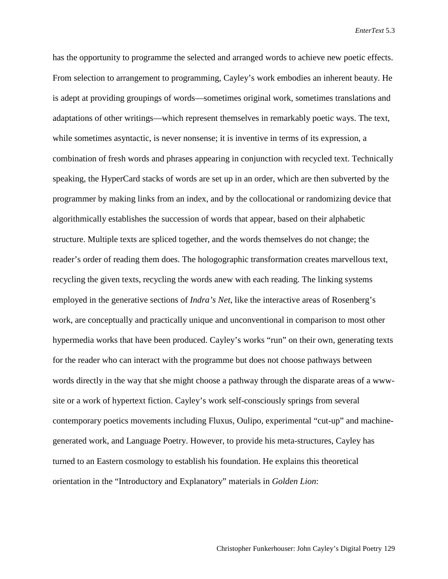has the opportunity to programme the selected and arranged words to achieve new poetic effects. From selection to arrangement to programming, Cayley's work embodies an inherent beauty. He is adept at providing groupings of words—sometimes original work, sometimes translations and adaptations of other writings—which represent themselves in remarkably poetic ways. The text, while sometimes asyntactic, is never nonsense; it is inventive in terms of its expression, a combination of fresh words and phrases appearing in conjunction with recycled text. Technically speaking, the HyperCard stacks of words are set up in an order, which are then subverted by the programmer by making links from an index, and by the collocational or randomizing device that algorithmically establishes the succession of words that appear, based on their alphabetic structure. Multiple texts are spliced together, and the words themselves do not change; the reader's order of reading them does. The hologographic transformation creates marvellous text, recycling the given texts, recycling the words anew with each reading. The linking systems employed in the generative sections of *Indra's Net*, like the interactive areas of Rosenberg's work, are conceptually and practically unique and unconventional in comparison to most other hypermedia works that have been produced. Cayley's works "run" on their own, generating texts for the reader who can interact with the programme but does not choose pathways between words directly in the way that she might choose a pathway through the disparate areas of a wwwsite or a work of hypertext fiction. Cayley's work self-consciously springs from several contemporary poetics movements including Fluxus, Oulipo, experimental "cut-up" and machinegenerated work, and Language Poetry. However, to provide his meta-structures, Cayley has turned to an Eastern cosmology to establish his foundation. He explains this theoretical orientation in the "Introductory and Explanatory" materials in *Golden Lion*: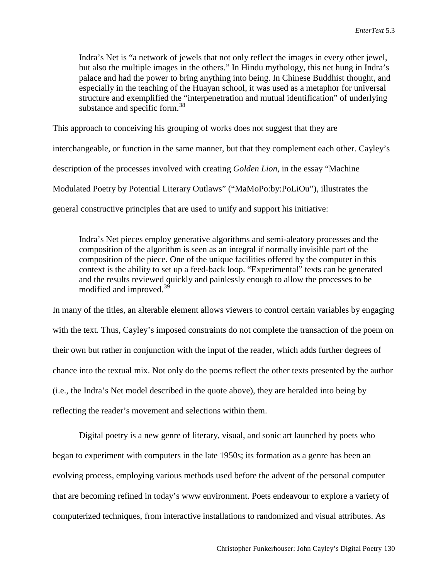Indra's Net is "a network of jewels that not only reflect the images in every other jewel, but also the multiple images in the others." In Hindu mythology, this net hung in Indra's palace and had the power to bring anything into being. In Chinese Buddhist thought, and especially in the teaching of the Huayan school, it was used as a metaphor for universal structure and exemplified the "interpenetration and mutual identification" of underlying substance and specific form.<sup>[38](#page-25-36)</sup>

This approach to conceiving his grouping of works does not suggest that they are

interchangeable, or function in the same manner, but that they complement each other. Cayley's description of the processes involved with creating *Golden Lion*, in the essay "Machine Modulated Poetry by Potential Literary Outlaws" ("MaMoPo:by:PoLiOu"), illustrates the general constructive principles that are used to unify and support his initiative:

Indra's Net pieces employ generative algorithms and semi-aleatory processes and the composition of the algorithm is seen as an integral if normally invisible part of the composition of the piece. One of the unique facilities offered by the computer in this context is the ability to set up a feed-back loop. "Experimental" texts can be generated and the results reviewed quickly and painlessly enough to allow the processes to be modified and improved.<sup>[39](#page-25-37)</sup>

In many of the titles, an alterable element allows viewers to control certain variables by engaging with the text. Thus, Cayley's imposed constraints do not complete the transaction of the poem on their own but rather in conjunction with the input of the reader, which adds further degrees of chance into the textual mix. Not only do the poems reflect the other texts presented by the author (i.e., the Indra's Net model described in the quote above), they are heralded into being by reflecting the reader's movement and selections within them.

Digital poetry is a new genre of literary, visual, and sonic art launched by poets who began to experiment with computers in the late 1950s; its formation as a genre has been an evolving process, employing various methods used before the advent of the personal computer that are becoming refined in today's www environment. Poets endeavour to explore a variety of computerized techniques, from interactive installations to randomized and visual attributes. As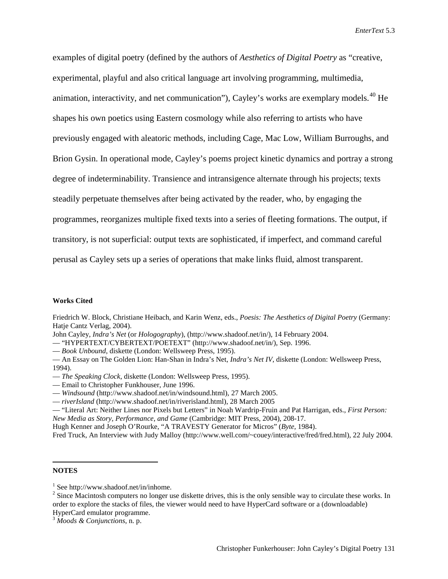examples of digital poetry (defined by the authors of *Aesthetics of Digital Poetry* as "creative, experimental, playful and also critical language art involving programming, multimedia, animation, interactivity, and net communication"), Cayley's works are exemplary models.<sup>[40](#page-25-38)</sup> He shapes his own poetics using Eastern cosmology while also referring to artists who have previously engaged with aleatoric methods, including Cage, Mac Low, William Burroughs, and Brion Gysin. In operational mode, Cayley's poems project kinetic dynamics and portray a strong degree of indeterminability. Transience and intransigence alternate through his projects; texts steadily perpetuate themselves after being activated by the reader, who, by engaging the programmes, reorganizes multiple fixed texts into a series of fleeting formations. The output, if transitory, is not superficial: output texts are sophisticated, if imperfect, and command careful perusal as Cayley sets up a series of operations that make links fluid, almost transparent.

#### **Works Cited**

Friedrich W. Block, Christiane Heibach, and Karin Wenz, eds., *Poesis: The Aesthetics of Digital Poetry* (Germany: Hatje Cantz Verlag, 2004).

John Cayley, *Indra's Net* (or *Hologography*), (http://www.shadoof.net/in/), 14 February 2004.

— "HYPERTEXT/CYBERTEXT/POETEXT" (http://www.shadoof.net/in/), Sep. 1996.

— *Book Unbound*, diskette (London: Wellsweep Press, 1995).

— An Essay on The Golden Lion: Han-Shan in Indra's Net, *Indra's Net IV*, diskette (London: Wellsweep Press, 1994).

- *The Speaking Clock*, diskette (London: Wellsweep Press, 1995).
- Email to Christopher Funkhouser, June 1996.
- *Windsound* (http://www.shadoof.net/in/windsound.html), 27 March 2005.
- *riverIsland* (http://www.shadoof.net/in/riverisland.html), 28 March 2005

— "Literal Art: Neither Lines nor Pixels but Letters" in Noah Wardrip-Fruin and Pat Harrigan, eds., *First Person: New Media as Story, Performance, and Game* (Cambridge: MIT Press, 2004), 208-17.

Hugh Kenner and Joseph O'Rourke, "A TRAVESTY Generator for Micros" (*Byte,* 1984).

Fred Truck, An Interview with Judy Malloy (http://www.well.com/~couey/interactive/fred/fred.html), 22 July 2004.

#### <span id="page-24-0"></span>**NOTES**

 $\overline{a}$ 

<sup>&</sup>lt;sup>1</sup> See http://www.shadoof.net/in/inhome.<br><sup>2</sup> Since Macintosh computers no longer use diskette drives, this is the only sensible way to circulate these works. In order to explore the stacks of files, the viewer would need to have HyperCard software or a (downloadable)

HyperCard emulator programme. <sup>3</sup> *Moods & Conjunctions*, n. p.